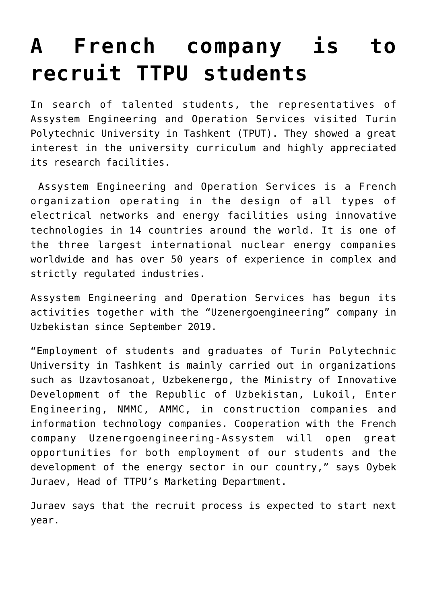## **[A French company is to](https://polito.uz/12755/) [recruit TTPU students](https://polito.uz/12755/)**

In search of talented students, the representatives of Assystem Engineering and Operation Services visited Turin Polytechnic University in Tashkent (TPUT). They showed a great interest in the university curriculum and highly appreciated its research facilities.

 Assystem Engineering and Operation Services is a French organization operating in the design of all types of electrical networks and energy facilities using innovative technologies in 14 countries around the world. It is one of the three largest international nuclear energy companies worldwide and has over 50 years of experience in complex and strictly regulated industries.

Assystem Engineering and Operation Services has begun its activities together with the "Uzenergoengineering" company in Uzbekistan since September 2019.

"Employment of students and graduates of Turin Polytechnic University in Tashkent is mainly carried out in organizations such as Uzavtosanoat, Uzbekenergo, the Ministry of Innovative Development of the Republic of Uzbekistan, Lukoil, Enter Engineering, NMMC, AMMC, in construction companies and information technology companies. Cooperation with the French company Uzenergoengineering-Assystem will open great opportunities for both employment of our students and the development of the energy sector in our country," says Oybek Juraev, Head of TTPU's Marketing Department.

Juraev says that the recruit process is expected to start next year.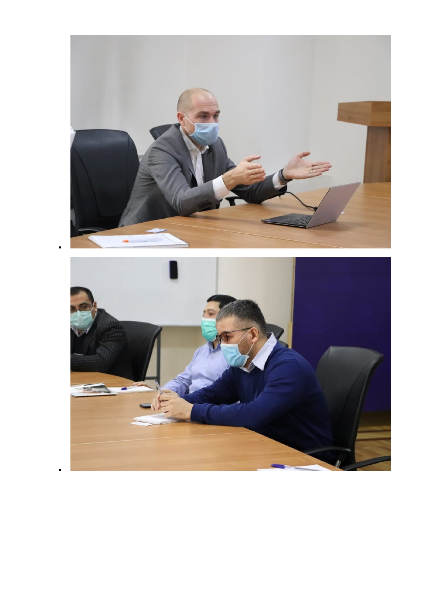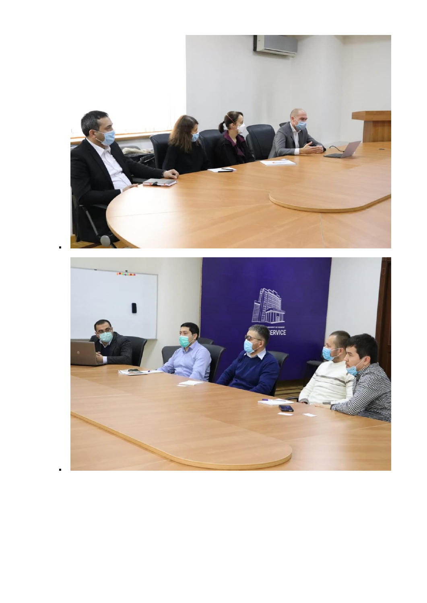



 $\blacksquare$